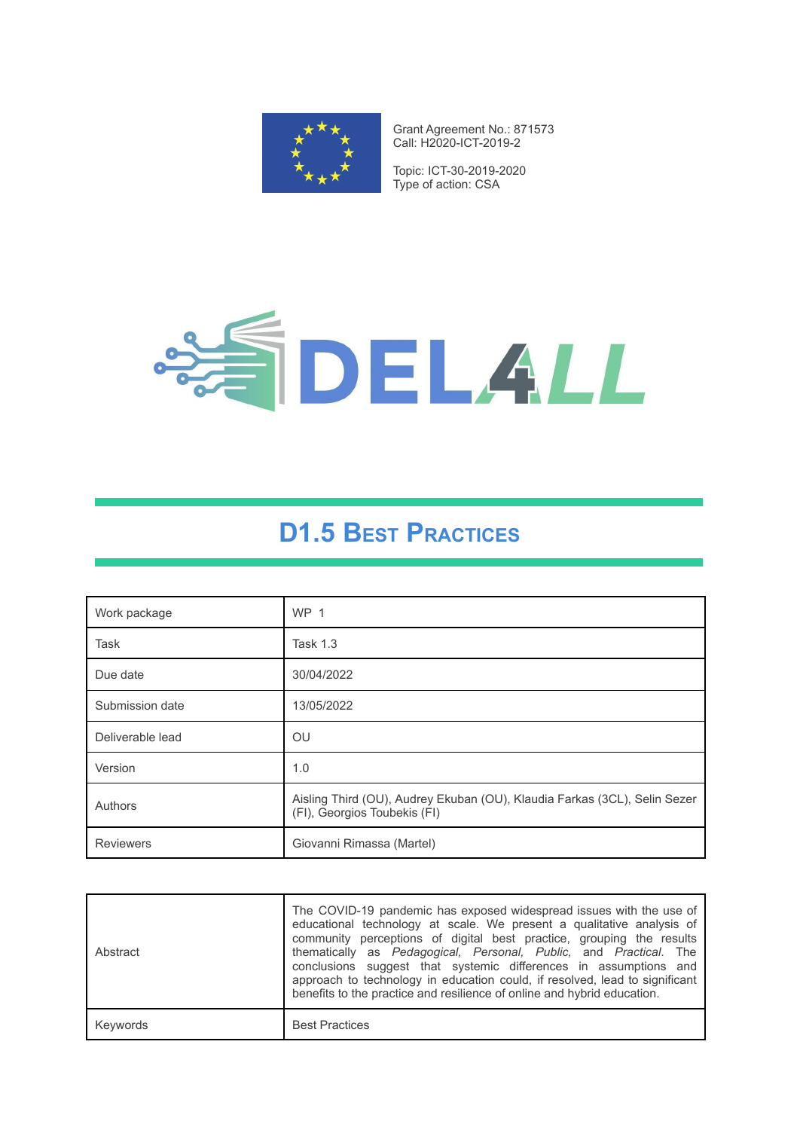

Grant Agreement No.: 871573 Call: H2020-ICT-2019-2

Topic: ICT-30-2019-2020 Type of action: CSA



# **D1.5 BEST PRACTICES**

| Work package     | <b>WP 1</b>                                                                                               |
|------------------|-----------------------------------------------------------------------------------------------------------|
| Task             | <b>Task 1.3</b>                                                                                           |
| Due date         | 30/04/2022                                                                                                |
| Submission date  | 13/05/2022                                                                                                |
| Deliverable lead | OU                                                                                                        |
| Version          | 1.0                                                                                                       |
| Authors          | Aisling Third (OU), Audrey Ekuban (OU), Klaudia Farkas (3CL), Selin Sezer<br>(FI), Georgios Toubekis (FI) |
| <b>Reviewers</b> | Giovanni Rimassa (Martel)                                                                                 |

| Abstract | The COVID-19 pandemic has exposed widespread issues with the use of<br>educational technology at scale. We present a qualitative analysis of<br>community perceptions of digital best practice, grouping the results<br>thematically as Pedagogical, Personal, Public, and Practical. The<br>conclusions suggest that systemic differences in assumptions and<br>approach to technology in education could, if resolved, lead to significant<br>benefits to the practice and resilience of online and hybrid education. |
|----------|-------------------------------------------------------------------------------------------------------------------------------------------------------------------------------------------------------------------------------------------------------------------------------------------------------------------------------------------------------------------------------------------------------------------------------------------------------------------------------------------------------------------------|
| Keywords | <b>Best Practices</b>                                                                                                                                                                                                                                                                                                                                                                                                                                                                                                   |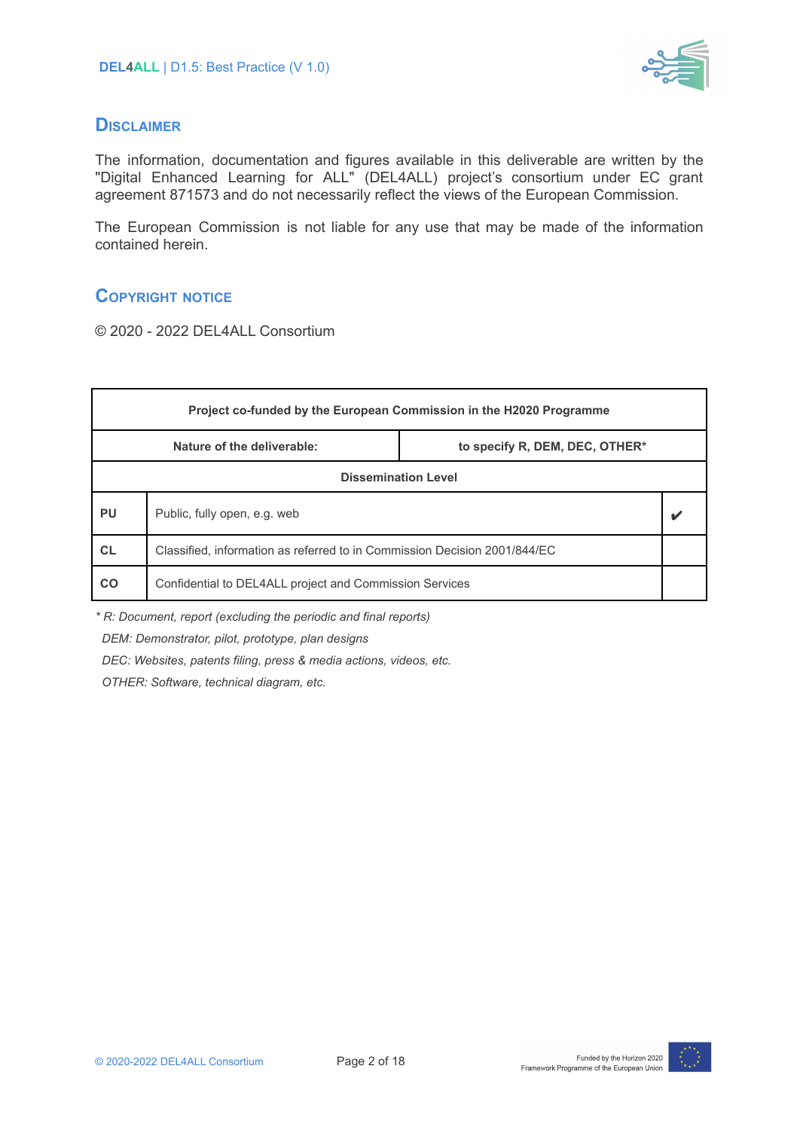

#### **DISCLAIMER**

The information, documentation and figures available in this deliverable are written by the "Digital Enhanced Learning for ALL" (DEL4ALL) project's consortium under EC grant agreement 871573 and do not necessarily reflect the views of the European Commission.

The European Commission is not liable for any use that may be made of the information contained herein.

## **COPYRIGHT NOTICE**

© 2020 - 2022 DEL4ALL Consortium

| Project co-funded by the European Commission in the H2020 Programme |                                                                           |                                |  |
|---------------------------------------------------------------------|---------------------------------------------------------------------------|--------------------------------|--|
|                                                                     | Nature of the deliverable:                                                | to specify R, DEM, DEC, OTHER* |  |
| <b>Dissemination Level</b>                                          |                                                                           |                                |  |
| PU                                                                  | Public, fully open, e.g. web                                              |                                |  |
| <b>CL</b>                                                           | Classified, information as referred to in Commission Decision 2001/844/EC |                                |  |
| CO                                                                  | Confidential to DEL4ALL project and Commission Services                   |                                |  |

*\* R: Document, report (excluding the periodic and final reports)*

*DEM: Demonstrator, pilot, prototype, plan designs*

*DEC: Websites, patents filing, press & media actions, videos, etc.*

*OTHER: Software, technical diagram, etc.*

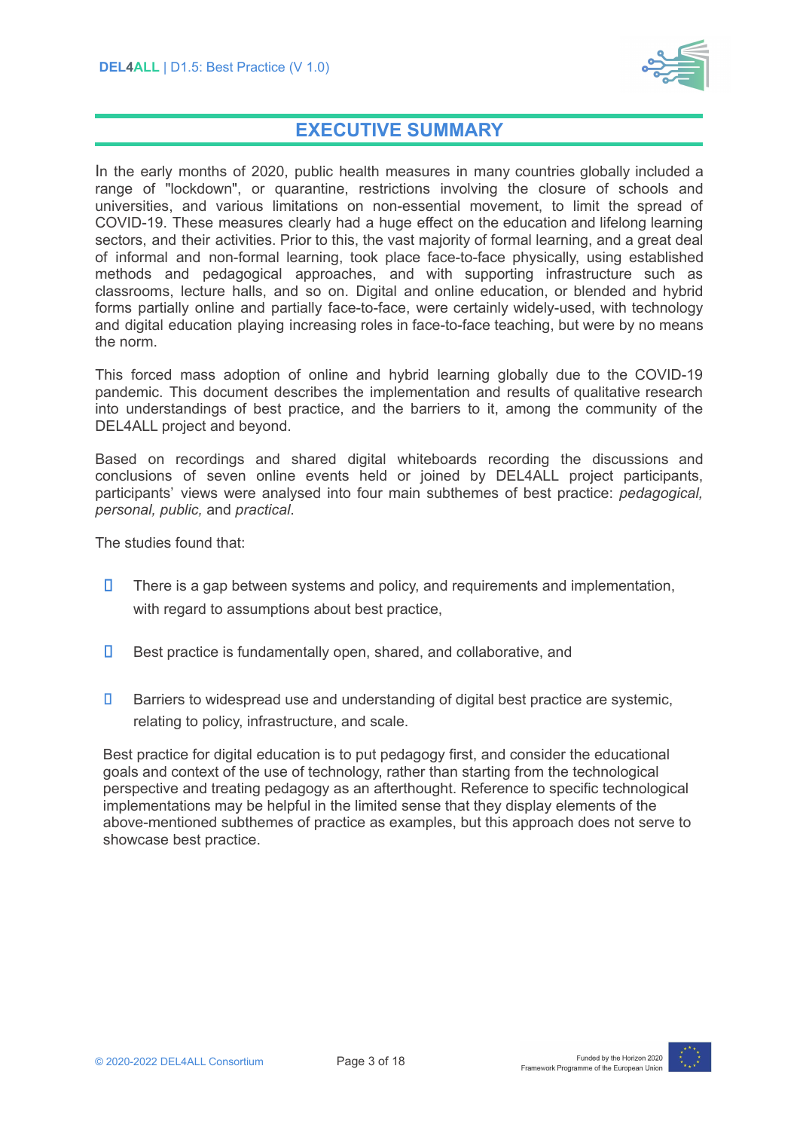

## **EXECUTIVE SUMMARY**

In the early months of 2020, public health measures in many countries globally included a range of "lockdown", or quarantine, restrictions involving the closure of schools and universities, and various limitations on non-essential movement, to limit the spread of COVID-19. These measures clearly had a huge effect on the education and lifelong learning sectors, and their activities. Prior to this, the vast majority of formal learning, and a great deal of informal and non-formal learning, took place face-to-face physically, using established methods and pedagogical approaches, and with supporting infrastructure such as classrooms, lecture halls, and so on. Digital and online education, or blended and hybrid forms partially online and partially face-to-face, were certainly widely-used, with technology and digital education playing increasing roles in face-to-face teaching, but were by no means the norm.

This forced mass adoption of online and hybrid learning globally due to the COVID-19 pandemic. This document describes the implementation and results of qualitative research into understandings of best practice, and the barriers to it, among the community of the DEL4ALL project and beyond.

Based on recordings and shared digital whiteboards recording the discussions and conclusions of seven online events held or joined by DEL4ALL project participants, participants' views were analysed into four main subthemes of best practice: *pedagogical, personal, public,* and *practical*.

The studies found that:

- П There is a gap between systems and policy, and requirements and implementation, with regard to assumptions about best practice,
- П Best practice is fundamentally open, shared, and collaborative, and
- П Barriers to widespread use and understanding of digital best practice are systemic, relating to policy, infrastructure, and scale.

Best practice for digital education is to put pedagogy first, and consider the educational goals and context of the use of technology, rather than starting from the technological perspective and treating pedagogy as an afterthought. Reference to specific technological implementations may be helpful in the limited sense that they display elements of the above-mentioned subthemes of practice as examples, but this approach does not serve to showcase best practice.

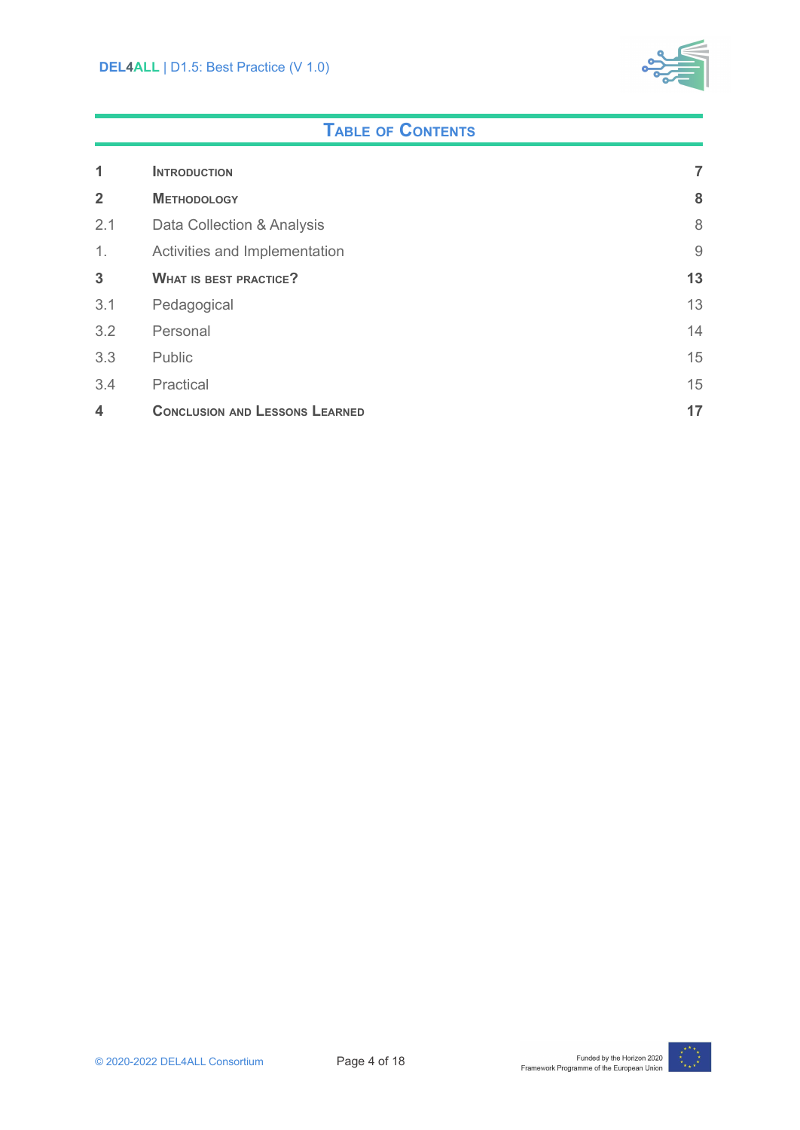

## **TABLE OF CONTENTS**

| 1                  | <b>INTRODUCTION</b>                   | 7              |
|--------------------|---------------------------------------|----------------|
| $\overline{2}$     | <b>METHODOLOGY</b>                    | 8              |
| 2.1                | Data Collection & Analysis            | 8              |
| 1.                 | Activities and Implementation         | $\overline{9}$ |
| 3                  | <b>WHAT IS BEST PRACTICE?</b>         | 13             |
| 3.1                | Pedagogical                           | 13             |
| 3.2                | Personal                              | 14             |
| 3.3                | Public                                | 15             |
| 3.4                | Practical                             | 15             |
| $\overline{\bf 4}$ | <b>CONCLUSION AND LESSONS LEARNED</b> | 17             |

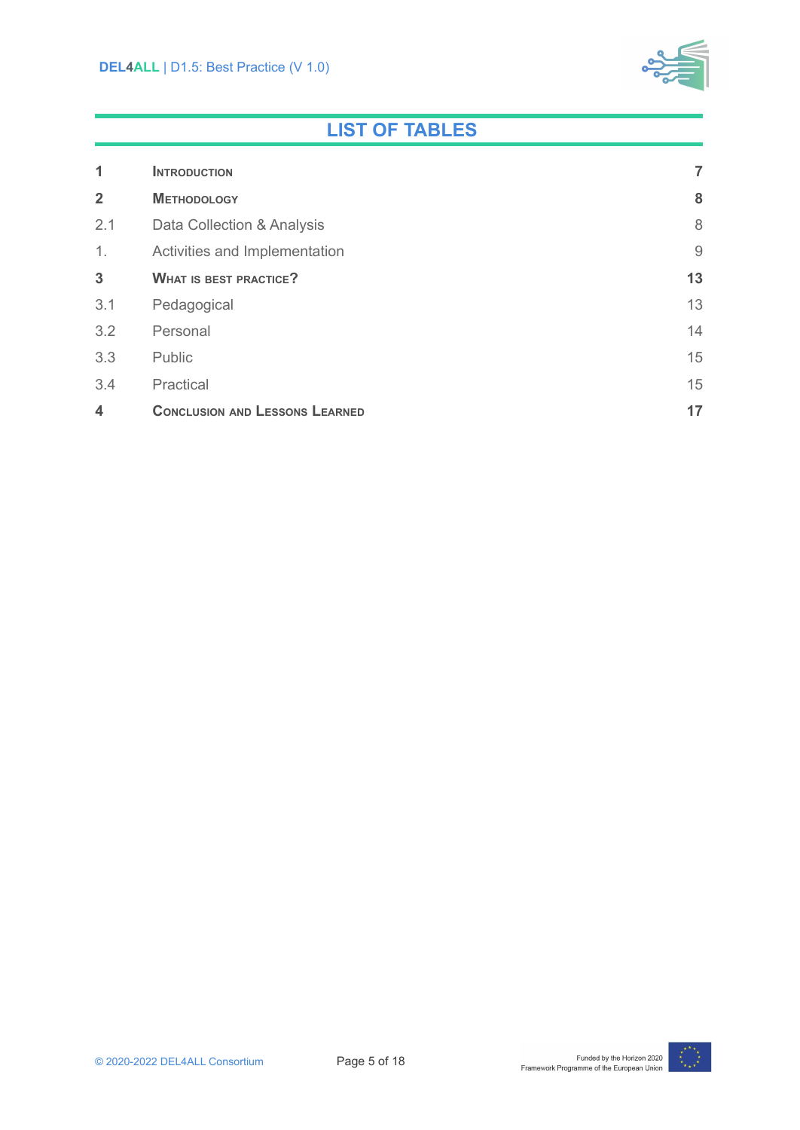

## **LIST OF TABLES**

| 1                  | <b>INTRODUCTION</b>                   | 7              |
|--------------------|---------------------------------------|----------------|
| $\overline{2}$     | <b>METHODOLOGY</b>                    | 8              |
| 2.1                | Data Collection & Analysis            | 8              |
| 1.                 | Activities and Implementation         | $\overline{9}$ |
| $\mathbf{3}$       | <b>WHAT IS BEST PRACTICE?</b>         | 13             |
| 3.1                | Pedagogical                           | 13             |
| 3.2                | Personal                              | 14             |
| 3.3                | Public                                | 15             |
| 3.4                | Practical                             | 15             |
| $\overline{\bf 4}$ | <b>CONCLUSION AND LESSONS LEARNED</b> | 17             |

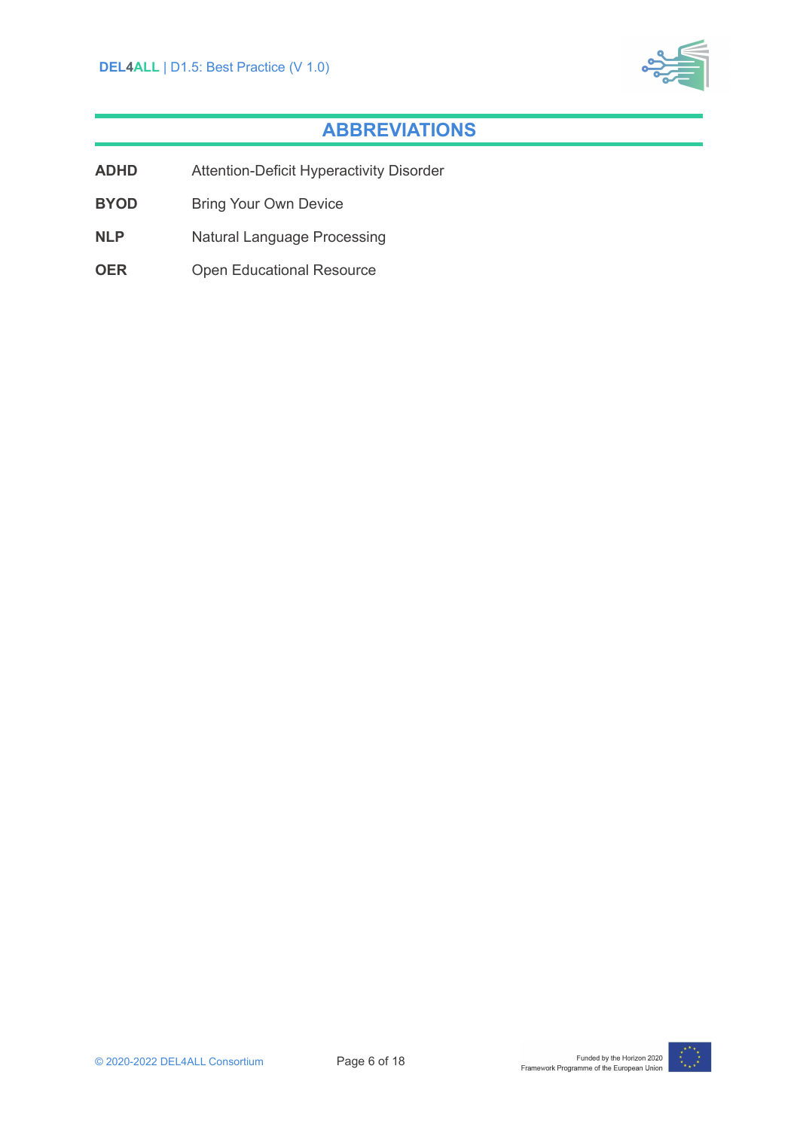

## **ABBREVIATIONS**

- **ADHD** Attention-Deficit Hyperactivity Disorder
- **BYOD** Bring Your Own Device
- **NLP** Natural Language Processing
- **OER** Open Educational Resource

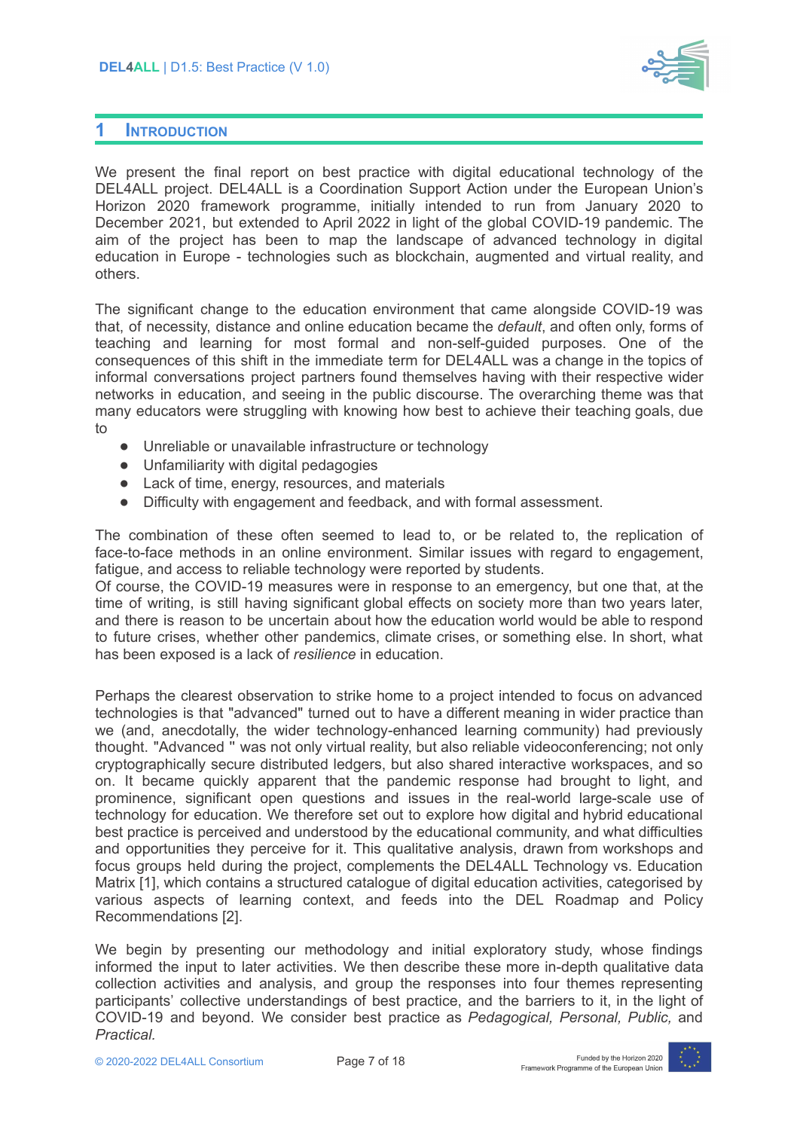

#### <span id="page-6-0"></span>**1 INTRODUCTION**

We present the final report on best practice with digital educational technology of the DEL4ALL project. DEL4ALL is a Coordination Support Action under the European Union's Horizon 2020 framework programme, initially intended to run from January 2020 to December 2021, but extended to April 2022 in light of the global COVID-19 pandemic. The aim of the project has been to map the landscape of advanced technology in digital education in Europe - technologies such as blockchain, augmented and virtual reality, and others.

The significant change to the education environment that came alongside COVID-19 was that, of necessity, distance and online education became the *default*, and often only, forms of teaching and learning for most formal and non-self-guided purposes. One of the consequences of this shift in the immediate term for DEL4ALL was a change in the topics of informal conversations project partners found themselves having with their respective wider networks in education, and seeing in the public discourse. The overarching theme was that many educators were struggling with knowing how best to achieve their teaching goals, due to

- Unreliable or unavailable infrastructure or technology
- Unfamiliarity with digital pedagogies
- Lack of time, energy, resources, and materials
- Difficulty with engagement and feedback, and with formal assessment.

The combination of these often seemed to lead to, or be related to, the replication of face-to-face methods in an online environment. Similar issues with regard to engagement, fatigue, and access to reliable technology were reported by students.

Of course, the COVID-19 measures were in response to an emergency, but one that, at the time of writing, is still having significant global effects on society more than two years later, and there is reason to be uncertain about how the education world would be able to respond to future crises, whether other pandemics, climate crises, or something else. In short, what has been exposed is a lack of *resilience* in education.

Perhaps the clearest observation to strike home to a project intended to focus on advanced technologies is that "advanced" turned out to have a different meaning in wider practice than we (and, anecdotally, the wider technology-enhanced learning community) had previously thought. "Advanced '' was not only virtual reality, but also reliable videoconferencing; not only cryptographically secure distributed ledgers, but also shared interactive workspaces, and so on. It became quickly apparent that the pandemic response had brought to light, and prominence, significant open questions and issues in the real-world large-scale use of technology for education. We therefore set out to explore how digital and hybrid educational best practice is perceived and understood by the educational community, and what difficulties and opportunities they perceive for it. This qualitative analysis, drawn from workshops and focus groups held during the project, complements the DEL4ALL Technology vs. Education Matrix [1], which contains a structured catalogue of digital education activities, categorised by various aspects of learning context, and feeds into the DEL Roadmap and Policy Recommendations [2].

We begin by presenting our methodology and initial exploratory study, whose findings informed the input to later activities. We then describe these more in-depth qualitative data collection activities and analysis, and group the responses into four themes representing participants' collective understandings of best practice, and the barriers to it, in the light of COVID-19 and beyond. We consider best practice as *Pedagogical, Personal, Public,* and *Practical.*

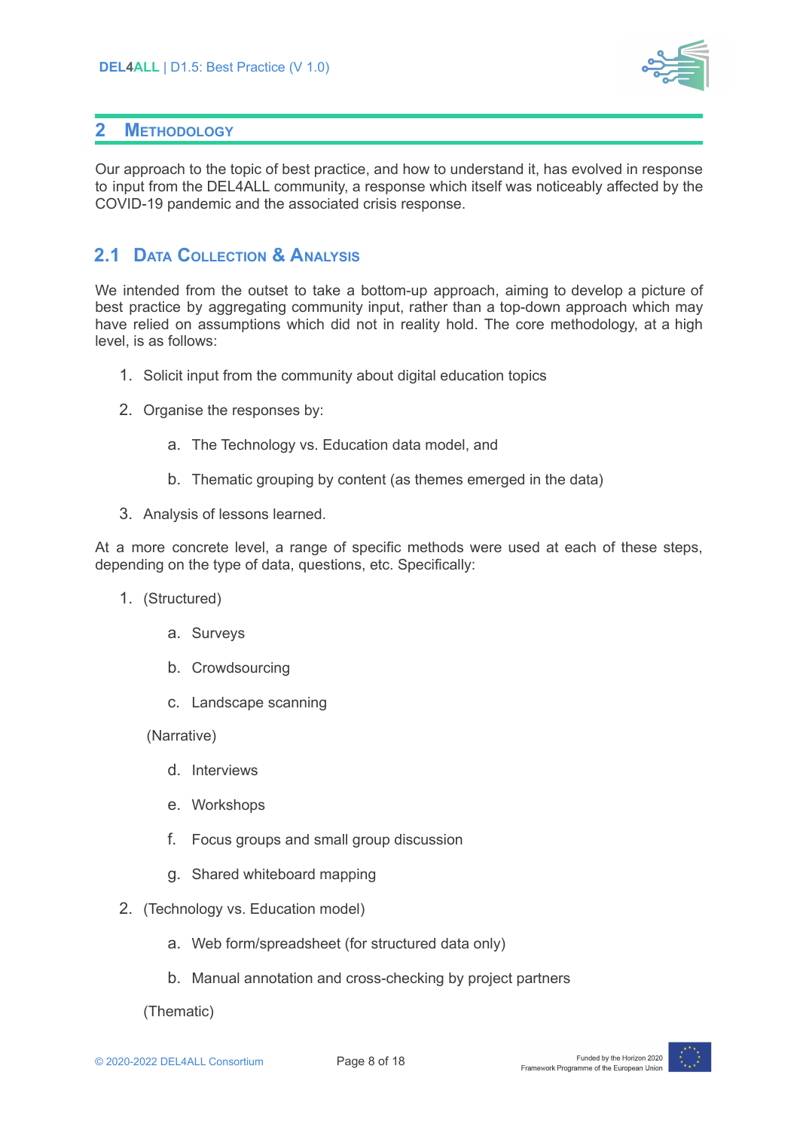

### <span id="page-7-0"></span>**2 METHODOLOGY**

Our approach to the topic of best practice, and how to understand it, has evolved in response to input from the DEL4ALL community, a response which itself was noticeably affected by the COVID-19 pandemic and the associated crisis response.

## <span id="page-7-1"></span>**2.1 DATA COLLECTION & ANALYSIS**

We intended from the outset to take a bottom-up approach, aiming to develop a picture of best practice by aggregating community input, rather than a top-down approach which may have relied on assumptions which did not in reality hold. The core methodology, at a high level, is as follows:

- 1. Solicit input from the community about digital education topics
- 2. Organise the responses by:
	- a. The Technology vs. Education data model, and
	- b. Thematic grouping by content (as themes emerged in the data)
- 3. Analysis of lessons learned.

At a more concrete level, a range of specific methods were used at each of these steps, depending on the type of data, questions, etc. Specifically:

- 1. (Structured)
	- a. Surveys
	- b. Crowdsourcing
	- c. Landscape scanning

(Narrative)

- d. Interviews
- e. Workshops
- f. Focus groups and small group discussion
- g. Shared whiteboard mapping
- 2. (Technology vs. Education model)
	- a. Web form/spreadsheet (for structured data only)
	- b. Manual annotation and cross-checking by project partners

(Thematic)

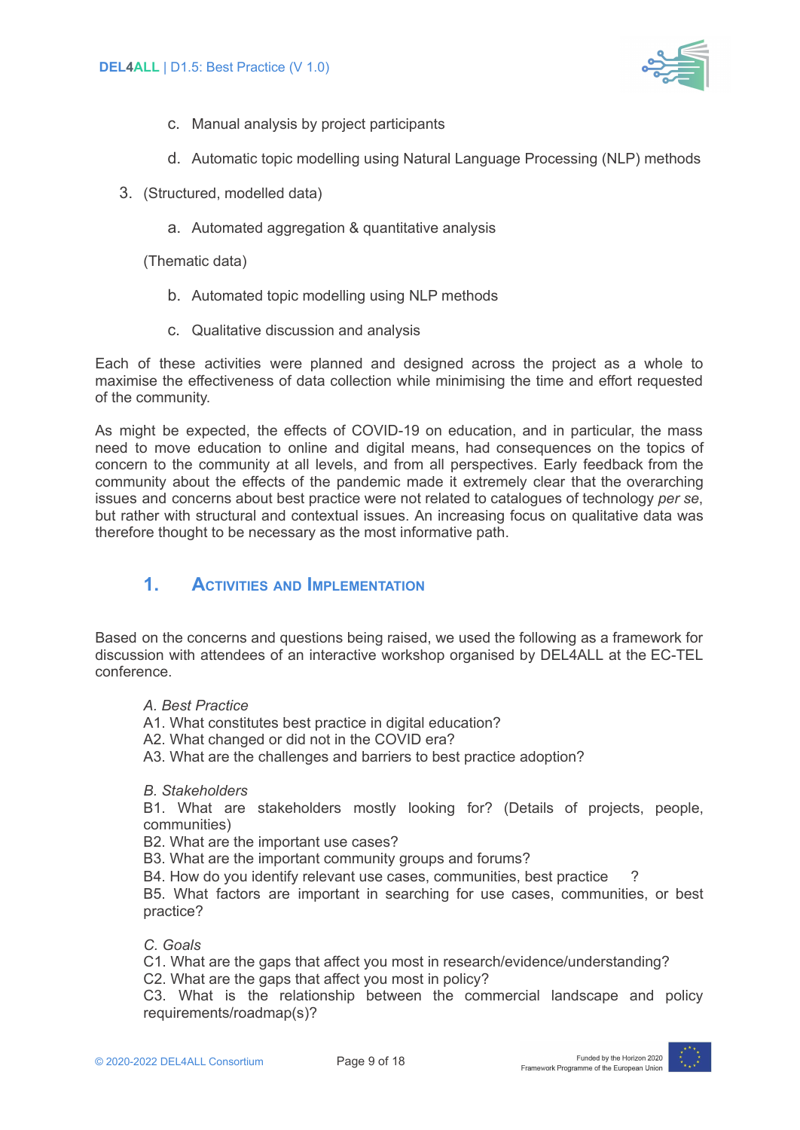

- c. Manual analysis by project participants
- d. Automatic topic modelling using Natural Language Processing (NLP) methods
- 3. (Structured, modelled data)
	- a. Automated aggregation & quantitative analysis

(Thematic data)

- b. Automated topic modelling using NLP methods
- c. Qualitative discussion and analysis

Each of these activities were planned and designed across the project as a whole to maximise the effectiveness of data collection while minimising the time and effort requested of the community.

As might be expected, the effects of COVID-19 on education, and in particular, the mass need to move education to online and digital means, had consequences on the topics of concern to the community at all levels, and from all perspectives. Early feedback from the community about the effects of the pandemic made it extremely clear that the overarching issues and concerns about best practice were not related to catalogues of technology *per se*, but rather with structural and contextual issues. An increasing focus on qualitative data was therefore thought to be necessary as the most informative path.

## <span id="page-8-0"></span>**1. ACTIVITIES AND IMPLEMENTATION**

Based on the concerns and questions being raised, we used the following as a framework for discussion with attendees of an interactive workshop organised by DEL4ALL at the EC-TEL conference.

- *A. Best Practice*
- A1. What constitutes best practice in digital education?
- A2. What changed or did not in the COVID era?
- A3. What are the challenges and barriers to best practice adoption?

*B. Stakeholders*

B1. What are stakeholders mostly looking for? (Details of projects, people, communities)

B2. What are the important use cases?

B3. What are the important community groups and forums?

B4. How do you identify relevant use cases, communities, best practice

B5. What factors are important in searching for use cases, communities, or best practice?

*C. Goals*

C1. What are the gaps that affect you most in research/evidence/understanding?

C2. What are the gaps that affect you most in policy?

C3. What is the relationship between the commercial landscape and policy requirements/roadmap(s)?

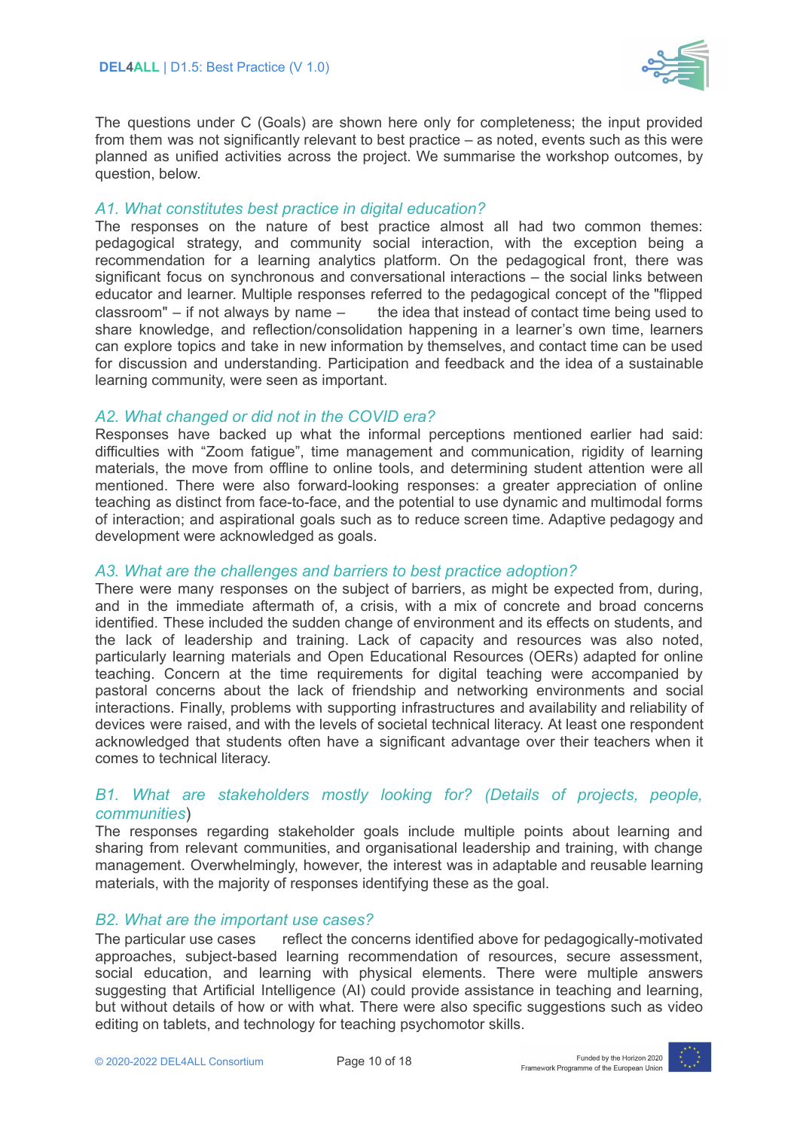

The questions under C (Goals) are shown here only for completeness; the input provided from them was not significantly relevant to best practice – as noted, events such as this were planned as unified activities across the project. We summarise the workshop outcomes, by question, below.

#### *A1. What constitutes best practice in digital education?*

The responses on the nature of best practice almost all had two common themes: pedagogical strategy, and community social interaction, with the exception being a recommendation for a learning analytics platform. On the pedagogical front, there was significant focus on synchronous and conversational interactions – the social links between educator and learner. Multiple responses referred to the pedagogical concept of the "flipped classroom" – if not always by name  $-$  the idea that instead of contact time being used to share knowledge, and reflection/consolidation happening in a learner's own time, learners can explore topics and take in new information by themselves, and contact time can be used for discussion and understanding. Participation and feedback and the idea of a sustainable learning community, were seen as important.

#### *A2. What changed or did not in the COVID era?*

Responses have backed up what the informal perceptions mentioned earlier had said: difficulties with "Zoom fatigue", time management and communication, rigidity of learning materials, the move from offline to online tools, and determining student attention were all mentioned. There were also forward-looking responses: a greater appreciation of online teaching as distinct from face-to-face, and the potential to use dynamic and multimodal forms of interaction; and aspirational goals such as to reduce screen time. Adaptive pedagogy and development were acknowledged as goals.

#### *A3. What are the challenges and barriers to best practice adoption?*

There were many responses on the subject of barriers, as might be expected from, during, and in the immediate aftermath of, a crisis, with a mix of concrete and broad concerns identified. These included the sudden change of environment and its effects on students, and the lack of leadership and training. Lack of capacity and resources was also noted, particularly learning materials and Open Educational Resources (OERs) adapted for online teaching. Concern at the time requirements for digital teaching were accompanied by pastoral concerns about the lack of friendship and networking environments and social interactions. Finally, problems with supporting infrastructures and availability and reliability of devices were raised, and with the levels of societal technical literacy. At least one respondent acknowledged that students often have a significant advantage over their teachers when it comes to technical literacy.

#### *B1. What are stakeholders mostly looking for? (Details of projects, people, communities*)

The responses regarding stakeholder goals include multiple points about learning and sharing from relevant communities, and organisational leadership and training, with change management. Overwhelmingly, however, the interest was in adaptable and reusable learning materials, with the majority of responses identifying these as the goal.

#### *B2. What are the important use cases?*

The particular use cases reflect the concerns identified above for pedagogically-motivated approaches, subject-based learning recommendation of resources, secure assessment, social education, and learning with physical elements. There were multiple answers suggesting that Artificial Intelligence (AI) could provide assistance in teaching and learning, but without details of how or with what. There were also specific suggestions such as video editing on tablets, and technology for teaching psychomotor skills.

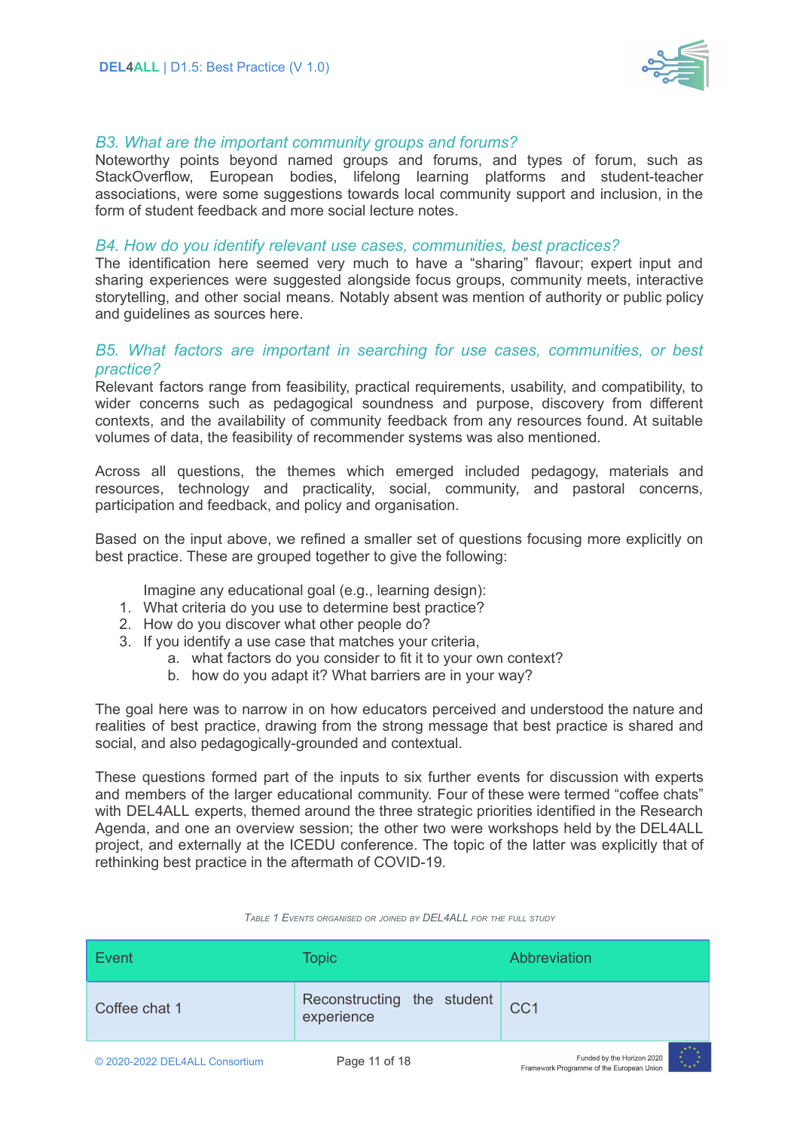

#### *B3. What are the important community groups and forums?*

Noteworthy points beyond named groups and forums, and types of forum, such as StackOverflow, European bodies, lifelong learning platforms and student-teacher associations, were some suggestions towards local community support and inclusion, in the form of student feedback and more social lecture notes.

#### *B4. How do you identify relevant use cases, communities, best practices?*

The identification here seemed very much to have a "sharing" flavour; expert input and sharing experiences were suggested alongside focus groups, community meets, interactive storytelling, and other social means. Notably absent was mention of authority or public policy and guidelines as sources here.

#### *B5. What factors are important in searching for use cases, communities, or best practice?*

Relevant factors range from feasibility, practical requirements, usability, and compatibility, to wider concerns such as pedagogical soundness and purpose, discovery from different contexts, and the availability of community feedback from any resources found. At suitable volumes of data, the feasibility of recommender systems was also mentioned.

Across all questions, the themes which emerged included pedagogy, materials and resources, technology and practicality, social, community, and pastoral concerns, participation and feedback, and policy and organisation.

Based on the input above, we refined a smaller set of questions focusing more explicitly on best practice. These are grouped together to give the following:

Imagine any educational goal (e.g., learning design):

- 1. What criteria do you use to determine best practice?
- 2. How do you discover what other people do?
- 3. If you identify a use case that matches your criteria,
	- a. what factors do you consider to fit it to your own context?
	- b. how do you adapt it? What barriers are in your way?

The goal here was to narrow in on how educators perceived and understood the nature and realities of best practice, drawing from the strong message that best practice is shared and social, and also pedagogically-grounded and contextual.

These questions formed part of the inputs to six further events for discussion with experts and members of the larger educational community. Four of these were termed "coffee chats" with DEL4ALL experts, themed around the three strategic priorities identified in the Research Agenda, and one an overview session; the other two were workshops held by the DEL4ALL project, and externally at the ICEDU conference. The topic of the latter was explicitly that of rethinking best practice in the aftermath of COVID-19.

| Event                          | <b>Topic</b>                             | Abbreviation                                                             |
|--------------------------------|------------------------------------------|--------------------------------------------------------------------------|
| Coffee chat 1                  | Reconstructing the student<br>experience | CC <sub>1</sub>                                                          |
| © 2020-2022 DEL4ALL Consortium | Page 11 of 18                            | Funded by the Horizon 2020<br>Framourark Drogrammo of the European Union |

#### *TABLE 1 EVENTS ORGANISED OR JOINED BY DEL4ALL FOR THE FULL STUDY*

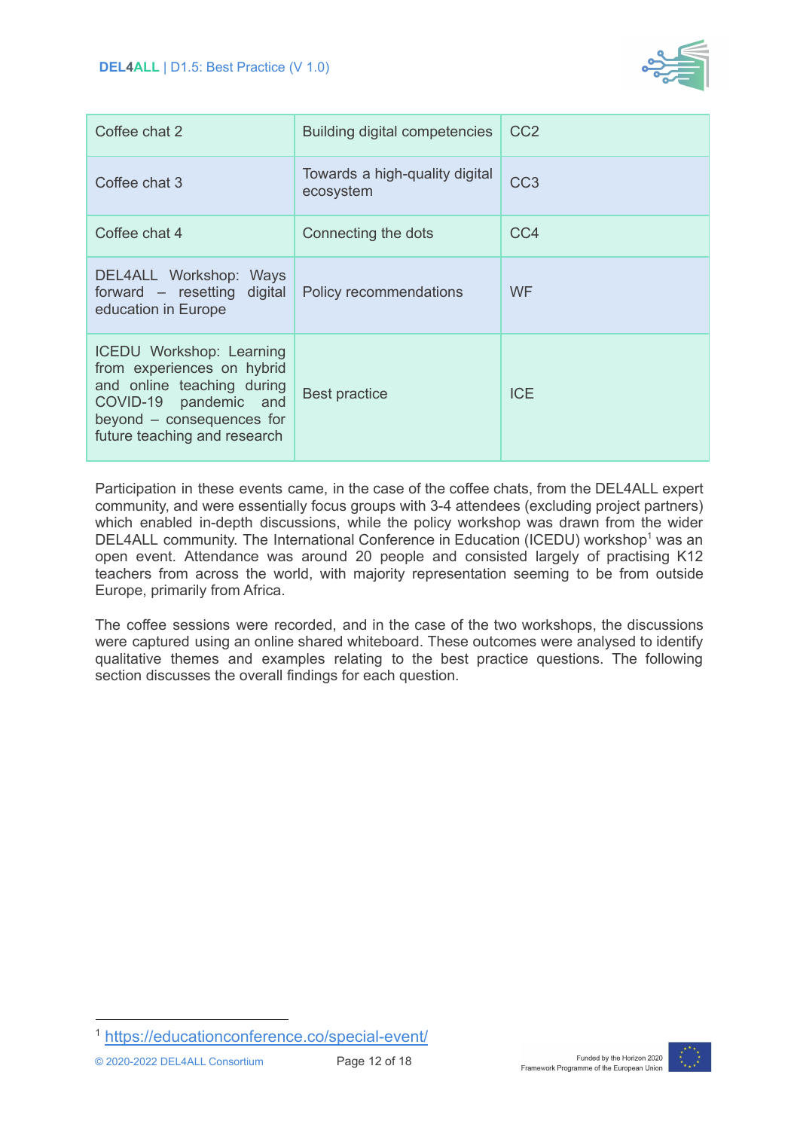

| Coffee chat 2                                                                                                                                                                     | Building digital competencies               | CC <sub>2</sub> |
|-----------------------------------------------------------------------------------------------------------------------------------------------------------------------------------|---------------------------------------------|-----------------|
| Coffee chat 3                                                                                                                                                                     | Towards a high-quality digital<br>ecosystem | CC <sub>3</sub> |
| Coffee chat 4                                                                                                                                                                     | Connecting the dots                         | CC4             |
| DEL4ALL Workshop: Ways<br>forward - resetting digital<br>education in Europe                                                                                                      | Policy recommendations                      | <b>WF</b>       |
| <b>ICEDU Workshop: Learning</b><br>from experiences on hybrid<br>and online teaching during<br>COVID-19 pandemic and<br>beyond - consequences for<br>future teaching and research | <b>Best practice</b>                        | <b>ICE</b>      |

Participation in these events came, in the case of the coffee chats, from the DEL4ALL expert community, and were essentially focus groups with 3-4 attendees (excluding project partners) which enabled in-depth discussions, while the policy workshop was drawn from the wider DEL4ALL community. The International Conference in Education (ICEDU) workshop<sup>1</sup> was an open event. Attendance was around 20 people and consisted largely of practising K12 teachers from across the world, with majority representation seeming to be from outside Europe, primarily from Africa.

The coffee sessions were recorded, and in the case of the two workshops, the discussions were captured using an online shared whiteboard. These outcomes were analysed to identify qualitative themes and examples relating to the best practice questions. The following section discusses the overall findings for each question.



<sup>1</sup> <https://educationconference.co/special-event/>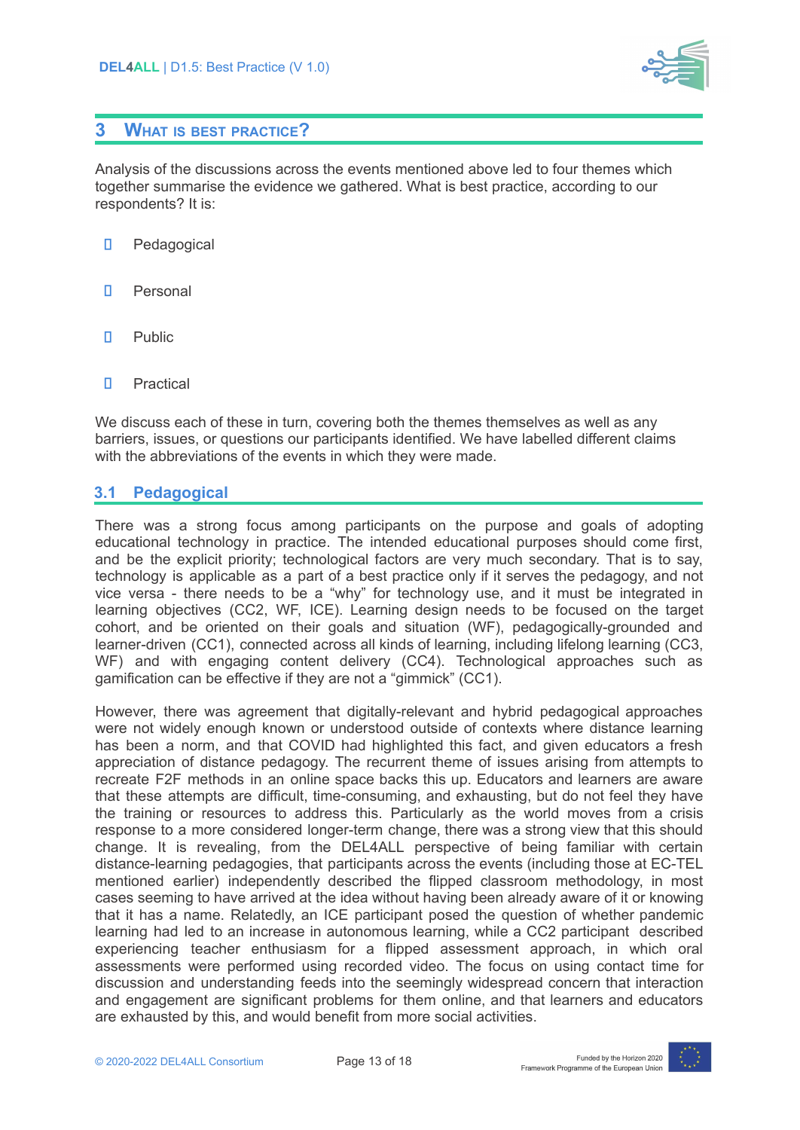

### <span id="page-12-0"></span>**3 WHAT IS BEST PRACTICE?**

Analysis of the discussions across the events mentioned above led to four themes which together summarise the evidence we gathered. What is best practice, according to our respondents? It is:

- П. Pedagogical
- П. Personal
- П. Public
- П. Practical

We discuss each of these in turn, covering both the themes themselves as well as any barriers, issues, or questions our participants identified. We have labelled different claims with the abbreviations of the events in which they were made.

#### <span id="page-12-1"></span>**3.1 Pedagogical**

There was a strong focus among participants on the purpose and goals of adopting educational technology in practice. The intended educational purposes should come first, and be the explicit priority; technological factors are very much secondary. That is to say, technology is applicable as a part of a best practice only if it serves the pedagogy, and not vice versa - there needs to be a "why" for technology use, and it must be integrated in learning objectives (CC2, WF, ICE). Learning design needs to be focused on the target cohort, and be oriented on their goals and situation (WF), pedagogically-grounded and learner-driven (CC1), connected across all kinds of learning, including lifelong learning (CC3, WF) and with engaging content delivery (CC4). Technological approaches such as gamification can be effective if they are not a "gimmick" (CC1).

However, there was agreement that digitally-relevant and hybrid pedagogical approaches were not widely enough known or understood outside of contexts where distance learning has been a norm, and that COVID had highlighted this fact, and given educators a fresh appreciation of distance pedagogy. The recurrent theme of issues arising from attempts to recreate F2F methods in an online space backs this up. Educators and learners are aware that these attempts are difficult, time-consuming, and exhausting, but do not feel they have the training or resources to address this. Particularly as the world moves from a crisis response to a more considered longer-term change, there was a strong view that this should change. It is revealing, from the DEL4ALL perspective of being familiar with certain distance-learning pedagogies, that participants across the events (including those at EC-TEL mentioned earlier) independently described the flipped classroom methodology, in most cases seeming to have arrived at the idea without having been already aware of it or knowing that it has a name. Relatedly, an ICE participant posed the question of whether pandemic learning had led to an increase in autonomous learning, while a CC2 participant described experiencing teacher enthusiasm for a flipped assessment approach, in which oral assessments were performed using recorded video. The focus on using contact time for discussion and understanding feeds into the seemingly widespread concern that interaction and engagement are significant problems for them online, and that learners and educators are exhausted by this, and would benefit from more social activities.

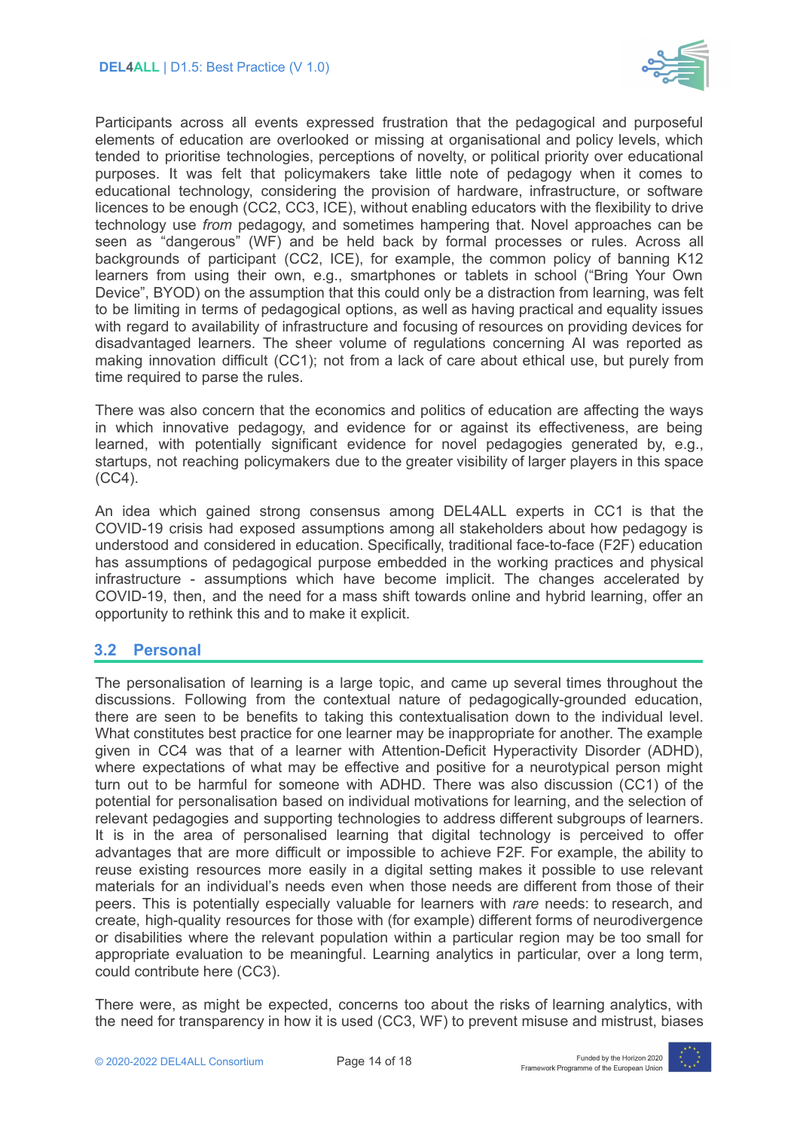

Participants across all events expressed frustration that the pedagogical and purposeful elements of education are overlooked or missing at organisational and policy levels, which tended to prioritise technologies, perceptions of novelty, or political priority over educational purposes. It was felt that policymakers take little note of pedagogy when it comes to educational technology, considering the provision of hardware, infrastructure, or software licences to be enough (CC2, CC3, ICE), without enabling educators with the flexibility to drive technology use *from* pedagogy, and sometimes hampering that. Novel approaches can be seen as "dangerous" (WF) and be held back by formal processes or rules. Across all backgrounds of participant (CC2, ICE), for example, the common policy of banning K12 learners from using their own, e.g., smartphones or tablets in school ("Bring Your Own Device", BYOD) on the assumption that this could only be a distraction from learning, was felt to be limiting in terms of pedagogical options, as well as having practical and equality issues with regard to availability of infrastructure and focusing of resources on providing devices for disadvantaged learners. The sheer volume of regulations concerning AI was reported as making innovation difficult (CC1); not from a lack of care about ethical use, but purely from time required to parse the rules.

There was also concern that the economics and politics of education are affecting the ways in which innovative pedagogy, and evidence for or against its effectiveness, are being learned, with potentially significant evidence for novel pedagogies generated by, e.g., startups, not reaching policymakers due to the greater visibility of larger players in this space (CC4).

An idea which gained strong consensus among DEL4ALL experts in CC1 is that the COVID-19 crisis had exposed assumptions among all stakeholders about how pedagogy is understood and considered in education. Specifically, traditional face-to-face (F2F) education has assumptions of pedagogical purpose embedded in the working practices and physical infrastructure - assumptions which have become implicit. The changes accelerated by COVID-19, then, and the need for a mass shift towards online and hybrid learning, offer an opportunity to rethink this and to make it explicit.

#### <span id="page-13-0"></span>**3.2 Personal**

The personalisation of learning is a large topic, and came up several times throughout the discussions. Following from the contextual nature of pedagogically-grounded education, there are seen to be benefits to taking this contextualisation down to the individual level. What constitutes best practice for one learner may be inappropriate for another. The example given in CC4 was that of a learner with Attention-Deficit Hyperactivity Disorder (ADHD), where expectations of what may be effective and positive for a neurotypical person might turn out to be harmful for someone with ADHD. There was also discussion (CC1) of the potential for personalisation based on individual motivations for learning, and the selection of relevant pedagogies and supporting technologies to address different subgroups of learners. It is in the area of personalised learning that digital technology is perceived to offer advantages that are more difficult or impossible to achieve F2F. For example, the ability to reuse existing resources more easily in a digital setting makes it possible to use relevant materials for an individual's needs even when those needs are different from those of their peers. This is potentially especially valuable for learners with *rare* needs: to research, and create, high-quality resources for those with (for example) different forms of neurodivergence or disabilities where the relevant population within a particular region may be too small for appropriate evaluation to be meaningful. Learning analytics in particular, over a long term, could contribute here (CC3).

There were, as might be expected, concerns too about the risks of learning analytics, with the need for transparency in how it is used (CC3, WF) to prevent misuse and mistrust, biases

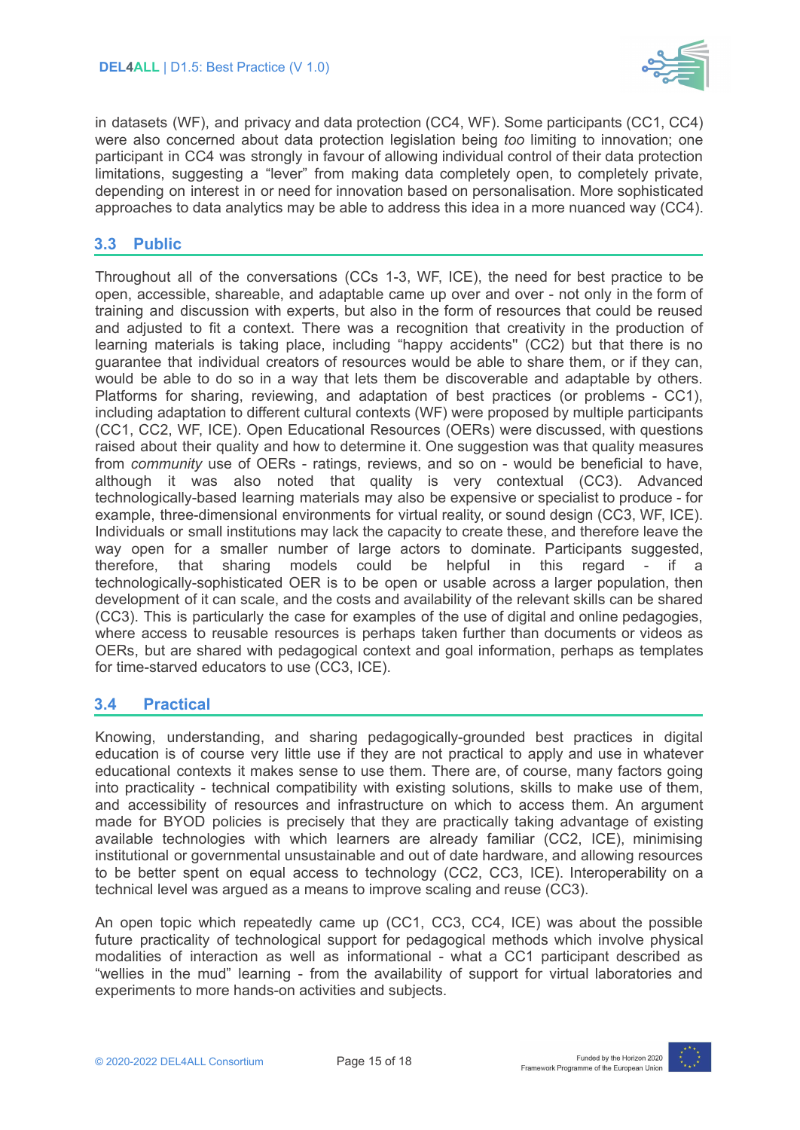

in datasets (WF), and privacy and data protection (CC4, WF). Some participants (CC1, CC4) were also concerned about data protection legislation being *too* limiting to innovation; one participant in CC4 was strongly in favour of allowing individual control of their data protection limitations, suggesting a "lever" from making data completely open, to completely private, depending on interest in or need for innovation based on personalisation. More sophisticated approaches to data analytics may be able to address this idea in a more nuanced way (CC4).

### <span id="page-14-0"></span>**3.3 Public**

Throughout all of the conversations (CCs 1-3, WF, ICE), the need for best practice to be open, accessible, shareable, and adaptable came up over and over - not only in the form of training and discussion with experts, but also in the form of resources that could be reused and adjusted to fit a context. There was a recognition that creativity in the production of learning materials is taking place, including "happy accidents'' (CC2) but that there is no guarantee that individual creators of resources would be able to share them, or if they can, would be able to do so in a way that lets them be discoverable and adaptable by others. Platforms for sharing, reviewing, and adaptation of best practices (or problems - CC1), including adaptation to different cultural contexts (WF) were proposed by multiple participants (CC1, CC2, WF, ICE). Open Educational Resources (OERs) were discussed, with questions raised about their quality and how to determine it. One suggestion was that quality measures from *community* use of OERs - ratings, reviews, and so on - would be beneficial to have, although it was also noted that quality is very contextual (CC3). Advanced technologically-based learning materials may also be expensive or specialist to produce - for example, three-dimensional environments for virtual reality, or sound design (CC3, WF, ICE). Individuals or small institutions may lack the capacity to create these, and therefore leave the way open for a smaller number of large actors to dominate. Participants suggested, therefore, that sharing models could be helpful in this regard - if a technologically-sophisticated OER is to be open or usable across a larger population, then development of it can scale, and the costs and availability of the relevant skills can be shared (CC3). This is particularly the case for examples of the use of digital and online pedagogies, where access to reusable resources is perhaps taken further than documents or videos as OERs, but are shared with pedagogical context and goal information, perhaps as templates for time-starved educators to use (CC3, ICE).

#### <span id="page-14-1"></span>**3.4 Practical**

Knowing, understanding, and sharing pedagogically-grounded best practices in digital education is of course very little use if they are not practical to apply and use in whatever educational contexts it makes sense to use them. There are, of course, many factors going into practicality - technical compatibility with existing solutions, skills to make use of them, and accessibility of resources and infrastructure on which to access them. An argument made for BYOD policies is precisely that they are practically taking advantage of existing available technologies with which learners are already familiar (CC2, ICE), minimising institutional or governmental unsustainable and out of date hardware, and allowing resources to be better spent on equal access to technology (CC2, CC3, ICE). Interoperability on a technical level was argued as a means to improve scaling and reuse (CC3).

An open topic which repeatedly came up (CC1, CC3, CC4, ICE) was about the possible future practicality of technological support for pedagogical methods which involve physical modalities of interaction as well as informational - what a CC1 participant described as "wellies in the mud" learning - from the availability of support for virtual laboratories and experiments to more hands-on activities and subjects.

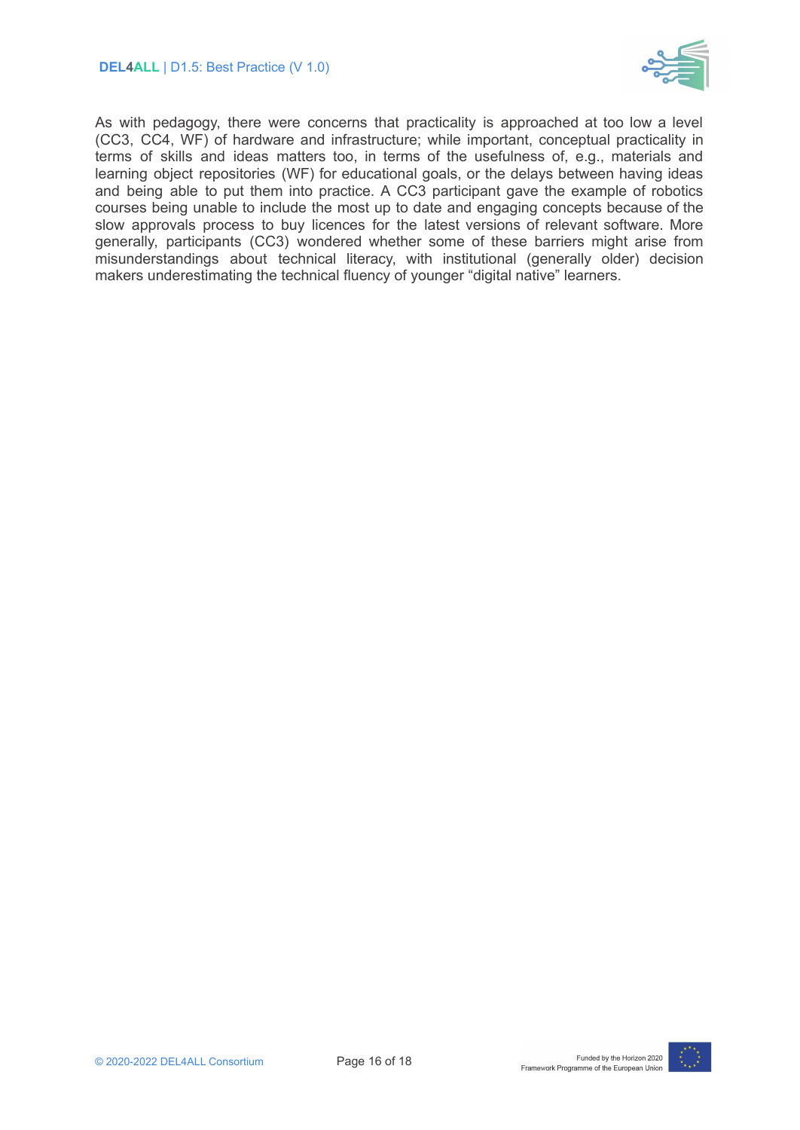

As with pedagogy, there were concerns that practicality is approached at too low a level (CC3, CC4, WF) of hardware and infrastructure; while important, conceptual practicality in terms of skills and ideas matters too, in terms of the usefulness of, e.g., materials and learning object repositories (WF) for educational goals, or the delays between having ideas and being able to put them into practice. A CC3 participant gave the example of robotics courses being unable to include the most up to date and engaging concepts because of the slow approvals process to buy licences for the latest versions of relevant software. More generally, participants (CC3) wondered whether some of these barriers might arise from misunderstandings about technical literacy, with institutional (generally older) decision makers underestimating the technical fluency of younger "digital native" learners.

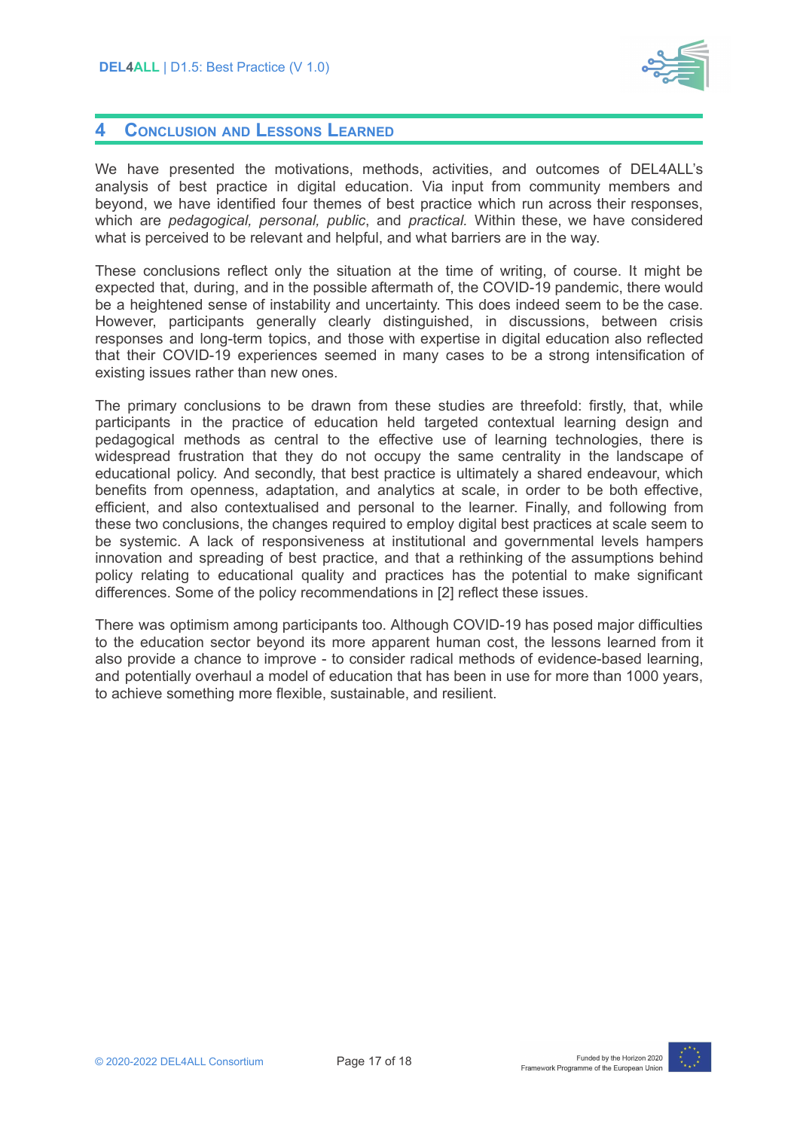

#### <span id="page-16-0"></span>**4 CONCLUSION AND LESSONS LEARNED**

We have presented the motivations, methods, activities, and outcomes of DEL4ALL's analysis of best practice in digital education. Via input from community members and beyond, we have identified four themes of best practice which run across their responses, which are *pedagogical, personal, public*, and *practical.* Within these, we have considered what is perceived to be relevant and helpful, and what barriers are in the way.

These conclusions reflect only the situation at the time of writing, of course. It might be expected that, during, and in the possible aftermath of, the COVID-19 pandemic, there would be a heightened sense of instability and uncertainty. This does indeed seem to be the case. However, participants generally clearly distinguished, in discussions, between crisis responses and long-term topics, and those with expertise in digital education also reflected that their COVID-19 experiences seemed in many cases to be a strong intensification of existing issues rather than new ones.

The primary conclusions to be drawn from these studies are threefold: firstly, that, while participants in the practice of education held targeted contextual learning design and pedagogical methods as central to the effective use of learning technologies, there is widespread frustration that they do not occupy the same centrality in the landscape of educational policy. And secondly, that best practice is ultimately a shared endeavour, which benefits from openness, adaptation, and analytics at scale, in order to be both effective, efficient, and also contextualised and personal to the learner. Finally, and following from these two conclusions, the changes required to employ digital best practices at scale seem to be systemic. A lack of responsiveness at institutional and governmental levels hampers innovation and spreading of best practice, and that a rethinking of the assumptions behind policy relating to educational quality and practices has the potential to make significant differences. Some of the policy recommendations in [2] reflect these issues.

There was optimism among participants too. Although COVID-19 has posed major difficulties to the education sector beyond its more apparent human cost, the lessons learned from it also provide a chance to improve - to consider radical methods of evidence-based learning, and potentially overhaul a model of education that has been in use for more than 1000 years, to achieve something more flexible, sustainable, and resilient.